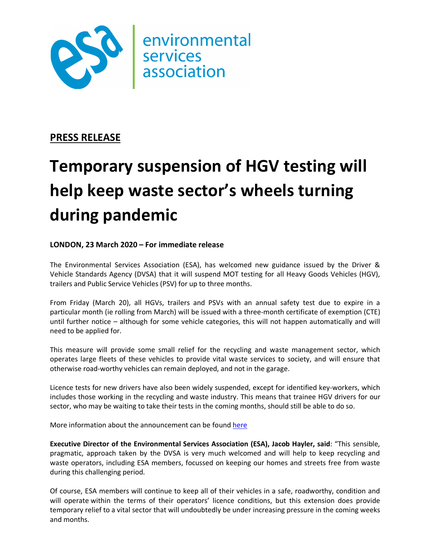

# **PRESS RELEASE**

# **Temporary suspension of HGV testing will help keep waste sector's wheels turning during pandemic**

## **LONDON, 23 March 2020 – For immediate release**

The Environmental Services Association (ESA), has welcomed new guidance issued by the Driver & Vehicle Standards Agency (DVSA) that it will suspend MOT testing for all Heavy Goods Vehicles (HGV), trailers and Public Service Vehicles (PSV) for up to three months.

From Friday (March 20), all HGVs, trailers and PSVs with an annual safety test due to expire in a particular month (ie rolling from March) will be issued with a three-month certificate of exemption (CTE) until further notice – although for some vehicle categories, this will not happen automatically and will need to be applied for.

This measure will provide some small relief for the recycling and waste management sector, which operates large fleets of these vehicles to provide vital waste services to society, and will ensure that otherwise road-worthy vehicles can remain deployed, and not in the garage.

Licence tests for new drivers have also been widely suspended, except for identified key-workers, which includes those working in the recycling and waste industry. This means that trainee HGV drivers for our sector, who may be waiting to take their tests in the coming months, should still be able to do so.

More information about the announcement can be found here

**Executive Director of the Environmental Services Association (ESA), Jacob Hayler, said**: "This sensible, pragmatic, approach taken by the DVSA is very much welcomed and will help to keep recycling and waste operators, including ESA members, focussed on keeping our homes and streets free from waste during this challenging period.

Of course, ESA members will continue to keep all of their vehicles in a safe, roadworthy, condition and will operate within the terms of their operators' licence conditions, but this extension does provide temporary relief to a vital sector that will undoubtedly be under increasing pressure in the coming weeks and months.